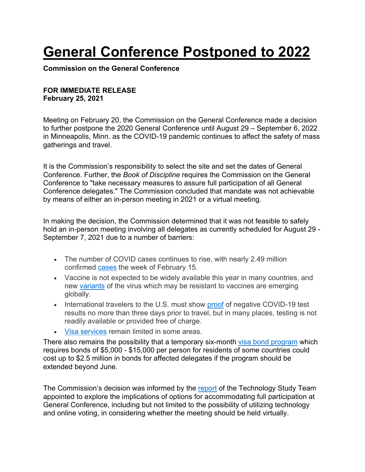## **General Conference Postponed to 2022**

**Commission on the General Conference**

## **FOR IMMEDIATE RELEASE February 25, 2021**

Meeting on February 20, the Commission on the General Conference made a decision to further postpone the 2020 General Conference until August 29 – September 6, 2022 in Minneapolis, Minn. as the COVID-19 pandemic continues to affect the safety of mass gatherings and travel.

It is the Commission's responsibility to select the site and set the dates of General Conference. Further, the *Book of Discipline* requires the Commission on the General Conference to "take necessary measures to assure full participation of all General Conference delegates." The Commission concluded that mandate was not achievable by means of either an in-person meeting in 2021 or a virtual meeting.

In making the decision, the Commission determined that it was not feasible to safely hold an in-person meeting involving all delegates as currently scheduled for August 29 - September 7, 2021 due to a number of barriers:

- The number of COVID cases continues to rise, with nearly 2.49 million confirmed cases the week of February 15.
- Vaccine is not expected to be widely available this year in many countries, and new variants of the virus which may be resistant to vaccines are emerging globally.
- International travelers to the U.S. must show proof of negative COVID-19 test results no more than three days prior to travel, but in many places, testing is not readily available or provided free of charge.
- Visa services remain limited in some areas.

There also remains the possibility that a temporary six-month visa bond program which requires bonds of \$5,000 - \$15,000 per person for residents of some countries could cost up to \$2.5 million in bonds for affected delegates if the program should be extended beyond June.

The Commission's decision was informed by the report of the Technology Study Team appointed to explore the implications of options for accommodating full participation at General Conference, including but not limited to the possibility of utilizing technology and online voting, in considering whether the meeting should be held virtually.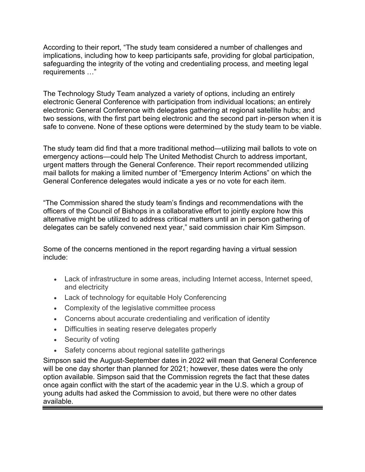According to their report, "The study team considered a number of challenges and implications, including how to keep participants safe, providing for global participation, safeguarding the integrity of the voting and credentialing process, and meeting legal requirements …"

The Technology Study Team analyzed a variety of options, including an entirely electronic General Conference with participation from individual locations; an entirely electronic General Conference with delegates gathering at regional satellite hubs; and two sessions, with the first part being electronic and the second part in-person when it is safe to convene. None of these options were determined by the study team to be viable.

The study team did find that a more traditional method—utilizing mail ballots to vote on emergency actions—could help The United Methodist Church to address important, urgent matters through the General Conference. Their report recommended utilizing mail ballots for making a limited number of "Emergency Interim Actions" on which the General Conference delegates would indicate a yes or no vote for each item.

"The Commission shared the study team's findings and recommendations with the officers of the Council of Bishops in a collaborative effort to jointly explore how this alternative might be utilized to address critical matters until an in person gathering of delegates can be safely convened next year," said commission chair Kim Simpson.

Some of the concerns mentioned in the report regarding having a virtual session include:

- Lack of infrastructure in some areas, including Internet access, Internet speed, and electricity
- Lack of technology for equitable Holy Conferencing
- Complexity of the legislative committee process
- Concerns about accurate credentialing and verification of identity
- Difficulties in seating reserve delegates properly
- Security of voting
- Safety concerns about regional satellite gatherings

Simpson said the August-September dates in 2022 will mean that General Conference will be one day shorter than planned for 2021; however, these dates were the only option available. Simpson said that the Commission regrets the fact that these dates once again conflict with the start of the academic year in the U.S. which a group of young adults had asked the Commission to avoid, but there were no other dates available.